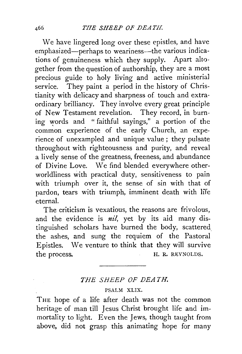We have lingered long over these epistles, and have emphasized—perhaps to weariness—the various indications of genuineness which they supply. Apart alto· gether from the question of authorship, they are a most precious guide to holy living and active ministerial service. They paint a period in the history of Christianity with delicacy and sharpness of touch and extraordinary brilliancy. They involve every great principle of New Testament revelation. They record, in burning words and " faithful sayings," a portion of the common experience of the early Church, an experience of unexampled and unique value; they pulsate throughout with righteousness and purity, and reveal a lively sense of the greatness, freeness, and abundance of Divine Love. We find blended everywhere otherworldliness with practical duty, sensitiveness to pain with triumph over it, the sense of sin with that of pardon, tears with triumph, imminent death with life eternal.

The criticism is vexatious, the reasons are frivolous, and the evidence is *nil,* yet by its aid many distinguished scholars have burned the body, scattered the ashes, and sung the requiem of the Pastoral Epistles. We venture to think that they will survive the process. H. R. REYNOLDS.

## *THE SHEEP OF DEATH.*

## PSALM XLIX.

THE hope of a life after death was not the common heritage of man till Jesus Christ brought life and immortality to light. Even the Jews, though taught from above, did not grasp this animating hope for many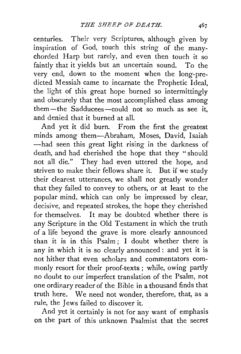centuries. Their very Scriptures, although given by inspiration of God, touch this string of the manychorded Harp but rarely, and even then touch it so faintly that it yields but an uncertain sound. To the very end, down to the moment when the long-predicted Messiah came to incarnate the Prophetic Ideal, the light of this great hope burned so intermittingly and obscurely that the most accomplished class among them-the Sadducees-could not so much. as see it, and denied that it burned at all.

And yet it did burn.· *From* the first the greatest minds among them-Abraham, Moses, David, Isaiah -had seen this great light rising in the darkness of death, and had cherished the hope that they " should not all die." They had even uttered the hope, and striven to make their fellows share it. But if we study their clearest utterances, we shall not greatly wonder that they failed to convey to others, or at least to the popular mind, which can only be impressed by clear, decisive, and repeated strokes, the hope they cherished for themselves. It may be doubted whether there is any Scripture in the Old Testament in which the truth of a life beyond the grave is more clearly announced than it is in this Psalm ; I doubt whether there is any in which it is so clearly announced : and yet it is not hither that even scholars and commentators commonly resort for their proof-texts ; while, owing partly no doubt to our imperfect translation of the Psalm, not one ordinary reader of the Bible in a thousand finds that truth here. We need not wonder, therefore, that, as a rule, the Jews failed to discover it.

And yet it certainly is not for any want of emphasis on the part of this unknown Psalmist that the secret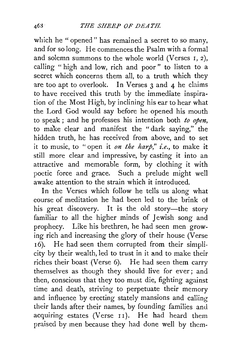which he "opened" has remained a secret to so many, and for so long. He commences the Psalm with a formal and solemn summons to the whole world (Verses I, 2), calling "high and low, rich and poor" to listen to a secret which concerns them all, to a truth which they are too apt to overlook. In Verses  $3$  and  $4$  he claims to have received this truth by the immediate inspiration of the Most High, by inclining his ear to hear what the Lord God would say before he opened his mouth to speak ; and he professes his intention both *to open,*  to make clear and manifest the "dark saying," the hidden truth, he has received from above, and to set it to music, to "open it *on the harp," i.e.,* to make it still more clear and impressive, by casting it into an attractive and memorable form, by clothing it with poetic force and grace. Such a prelude might well awake attention to the strain which it introduced.

In the Verses which follow he tells us along what course of meditation he had been led to the brink of his great discovery. It is the old story-the story familiar to all the higher minds of Jewish song and prophecy. Like his brethren, he had seen men growing rich and increasing the glory of their house (Verse 16). He had seen them corrupted from their simplicity by their wealth, led to trust in it and to make their riches their boast (Verse 6). He had seen them carry themselves as though they should live for ever; and then, conscious that they too must die, fighting against time and death, striving to perpetuate their memory and influence by erecting stately mansions and calling their lands after their names, by founding families and acquiring estates (Verse  $11$ ). He had heard them praised by men because they had done well by them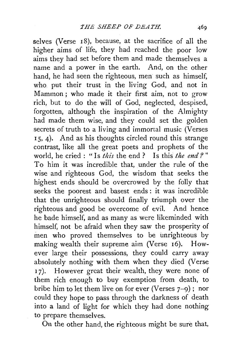selves (Verse 18), because, at the sacrifice of all the higher aims of life, they had reached the poor low aims they had set before them and made themselves a name and a power in the earth. And, on the other hand, he had seen the righteous, men such as himself, who. put their trust in the living God, and not in Mammon ; who made it their first aim, not to grow rich, but to do the will of God, neglected, despised, forgotten, although the inspiration of the Almighty had made them wise, and they could set the golden secrets of truth to a living and immortal music (Verses <sup>I</sup>5, 4). And as his thoughts circled round this strange contrast, like all the great poets and prophets of the world, he cried : "Is *this* the end ? Is this *the end* ?" To him it was incredible that, under the rule of the wise and righteous God, the wisdom that seeks the highest ends should be overcrowed by the folly that seeks the poorest and basest ends : it was incredible that the unrighteous should finally triumph over the righteous and good be overcome of evil. And hence he bade himself, and as many as were likeminded with himself, not be afraid when they saw the prosperity of inen who proved themselves to be unrighteous by making wealth their supreme aim (Verse I6). However large their possessions, they could carry away absolutely nothing with them when they died (Verse 17). However great their wealth, they were none of them rich enough to buy exemption from death, to bribe him to let them live on for ever (Verses 7-9) ; nor could they hope to pass through the darkness of death into a land of light for which they had done nothing to prepare themselves.

On the other hand, the righteous might be sure that,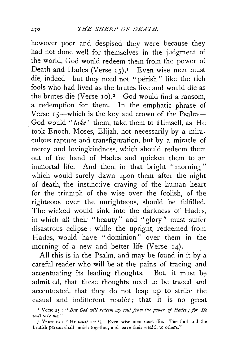however poor and despised they were because they had not done well for themselves in the judgment of the world, God would redeem them from the power of Death and Hades (Verse  $15$ ).<sup>1</sup> Even wise men must die, indeed ; but they need not " perish " like the rich fools who had lived as the brutes live and would die as the brutes die (Verse 10). $2$  God would find a ransom, a redemption for them. In the emphatic phrase of Verse 15—which is the key and crown of the Psalm— . God would *"take* " them, take them to Himself, as He took Enoch, Moses, Elijah, not necessarily by a miraculous rapture and transfiguration, but by a miracle of mercy and lovingkindness, which should redeem them out of the hand of Hades and quicken them to an immortal life. And then, in that bright "morning" which would surely dawn upon them after the night of death, the instinctive craving of the human heart for the triumph of the wise over the foolish, of the righteous over the unrighteous, should be fulfilled. The wicked would sink into the darkness of Hades, in which all their "beauty" and "glory'' must suffer disastrous eclipse ; while the upright, redeemed from Hades, would have "dominion" over them in the morning of a new and better life (Verse 14).

All this is in the Psalm, and may be found in it by a careful reader who will be at the pains of tracing and accentuating its leading thoughts. But, it must be admitted, that these thoughts need to be traced and accentuated, that they do not leap up to strike the casual and indifferent reader; that it is no great

<sup>&</sup>lt;sup>1</sup> Verse 15: "But God will redeem my soul from the power of *Hades*; for *He ·u.lill take me."* 

<sup>,</sup> 2 Verse 10: "He *must* see it. Even wise men must die. The fool and the brutish person shall perish together, and leave their wealth to others."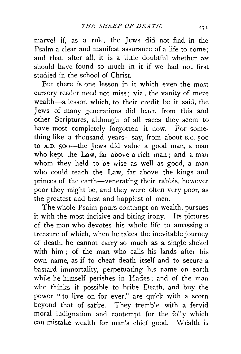marvel if, as a rule, the Jews did not find in the Psalm a clear and manifest assurance of a life to come; and that, after all, it is a little doubtful whether *we*  should have found so much in it if we had not first studied in the school of Christ.

But there is one lesson in it which even the most cursory reader need not miss; viz., the vanity of mere wealth-a lesson which, to their credit be it said, the Jews of many generations did lea.n from this and other Scriptures, although of all races they seem to have most completely forgotten it now. For something like a thousand years—say, from about B.C. 500 to A.D. soo-the Jews did value a good man, a man who kept the Law, far above a rich man ; and a man whom they held to be wise as well as good, a man who could teach the Law, far above the kings and princes of the earth-venerating their rabbis, however poor they might be, and they were often very poor, as the greatest and best and happiest of men.

The whole Psalm pours contempt on wealth, pursues it with the most incisive and biting irony. Its pictures of the man who devotes his whole life to amassing a treasure of which, when he takes the inevitable journey of death, he cannot carry so much as a single shekel with him; of the man who calls his lands after his own name, as if to cheat death itself and to secure a bastard immortality, perpetuating his name on earth while he himself perishes in Hades ; and of the man who thinks it possible to bribe Death, and buy the power "to live on for ever," are quick with a scorn beyond that of satire. They tremble with a fervid moral indignation and contempt for the folly which can mistake wealth for man's chief good. Wealth is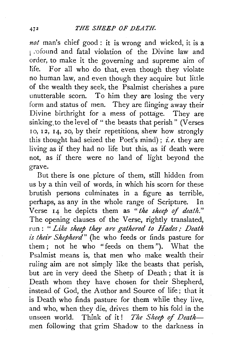*not* man's chief good : it is wrong and wicked, it is a 1 :ofound and fatal violation of the Divine law and order, to make it the governing and supreme aim of life. For all who do that, even though they violate no human law, and even though they acquire but little of the wealth they seek, the Psalmist cherishes a pure unutterable scorn. To him they are losing the very form and status of men. They are flinging away their Divine birthright for a mess of pottage. They are sinking to the level of " the beasts that perish " (Verses 10, 12, 14, 20, by their repetitions, shew how strongly this thought had seized the Poet's mind) ; *i.e.* they are living as if they had no life but this, as if death were not, as if there were no land of light beyond the grave.

But there is one picture of them, still hidden from us by a thin veil of words, in which his scorn for these brutish persons culminates in a figure as terrible, perhaps, as any in the whole range of Scripture. In Verse 14 he depicts them as *"the sheep of death."*  The opening clauses of the Verse, rightly translated, run : " *Like sheep they are gathered to Hades; Death*  is their Shepherd" (he who feeds or finds pasture for them ; not he who "feeds on them "). What the Psalmist means is, that men who make wealth their ruling aim are not simply like the beasts that perish, but are in very deed the Sheep of Death ; that it is Death whom they have chosen for their Shepherd, instead of God, the Author and Source of life; that it is Death who finds pasture for them while they live, and who, when they die, drives them to his fold in the unseen world. Think of it! The Sheep of Deathmen following that grim Shadow to the darkness in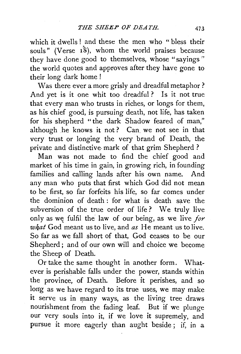which it dwells! and these the men who "bless their souls" (Verse  $1\dot{8}$ ), whom the world praises because they have done good to themselves, whose "sayings " the world quotes and approves after they have gone to their long dark home !

Was there ever a more grisly and dreadful metaphor ? And yet is it one whit too dreadful? Is it not true that every man who trusts in riches, or longs for them, as his chief good, is pursuing death, not life, has taken for his shepherd "the dark Shadow feared of man," although he knows it not? Can we not see in that very trust or longing the very brand of Death, the private and distinctive· mark of that grim Shepherd ?

Man was not made to find the chief good and market of his time in gain, in growing rich, in founding families and calling lands after his own name. And any man who puts that first which God did not mean to be first, so far forfeits his life, so far comes under the dominion of death : for what is death save the subversion of the true order of life ? We truly live only as we fulfil the law of our being, as we live for *w/iat* God meant us to live, and *as* He meant us to live. So far as we fall short of that, God ceases to be our Shepherd; and of our own will and choice we become the Sheep of Death.

Or take the same thought in another form. Whatever is perishable falls under the power, stands within the province, of Death. Before it perishes, and so long as we have regard to its true uses, we may make it serve us in many ways, as the living tree draws nourishment from the fading leaf. But if we plunge our very souls into it, if we love it supremely, and pursue it more eagerly than aught beside ; if, in a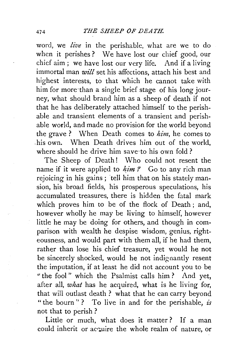word, we *live* in the perishable, what are we to do when it perishes ? We have lost our chief good, our chief aim ; we have lost our very life. And if a living immortal man *will* set his affections, attach his best and highest interests, to that which he cannot take with him for more·than a single brief stage of his long journey, what should brand him as a sheep of death if not that he has deliberately attached himself to the perishable and transient elements of a transient and perishable world, and made no provision for the world beyond the grave ? When Death comes to *him,* he comes to .his own. When Death drives him out of the world, where should he drive him save·to his own fold?

The Sheep of Death! Who could not resent the name if it were applied to *him?* Go to any rich man rejoicing in his gains ; 'tell him that on his stately mansion, his broad fields, his prosperous speculations, his accumulated treasures, there is hidden the fatal mark which proves him to be of the flock of Death ; and, however wholly he may be living to himself, however little he may be doing for others, and though in comparison with wealth he despise wisdom, genius, righteousness, and would part with them all, if he had them, rather than lose his chief treasure, yet would he not be sincerely shocked, would he not indignantly resent the imputation, if at least he did not account you to be "the fool" which the Psalmist calls him? And yet, after all, *what* has he acquired, what is he living for, that will outlast death ? what that he can carry beyond "the bourn"? To live in and for the perishable, is not that to perish ?

Little or much, what does it matter? If a man could inherit or acquire the whole realm of nature, or